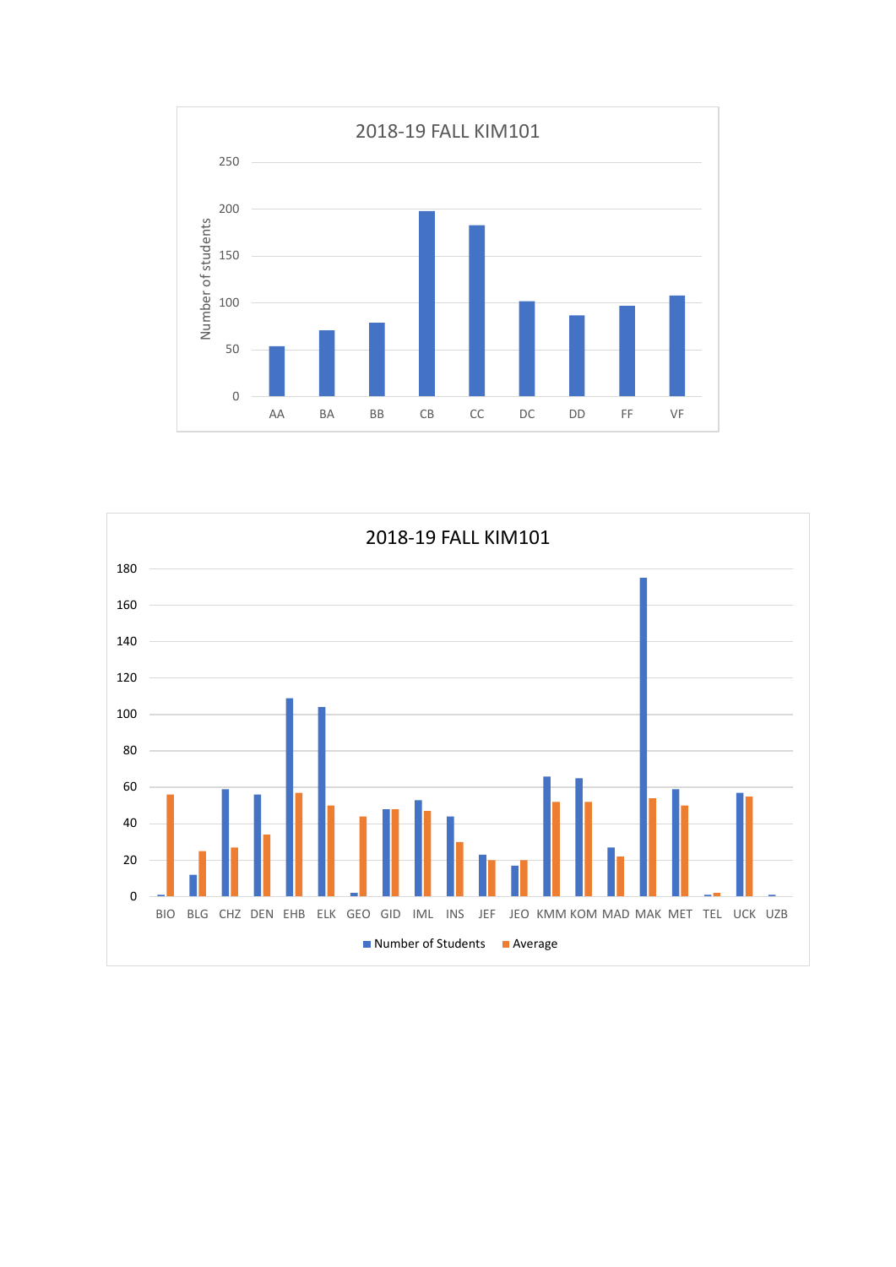

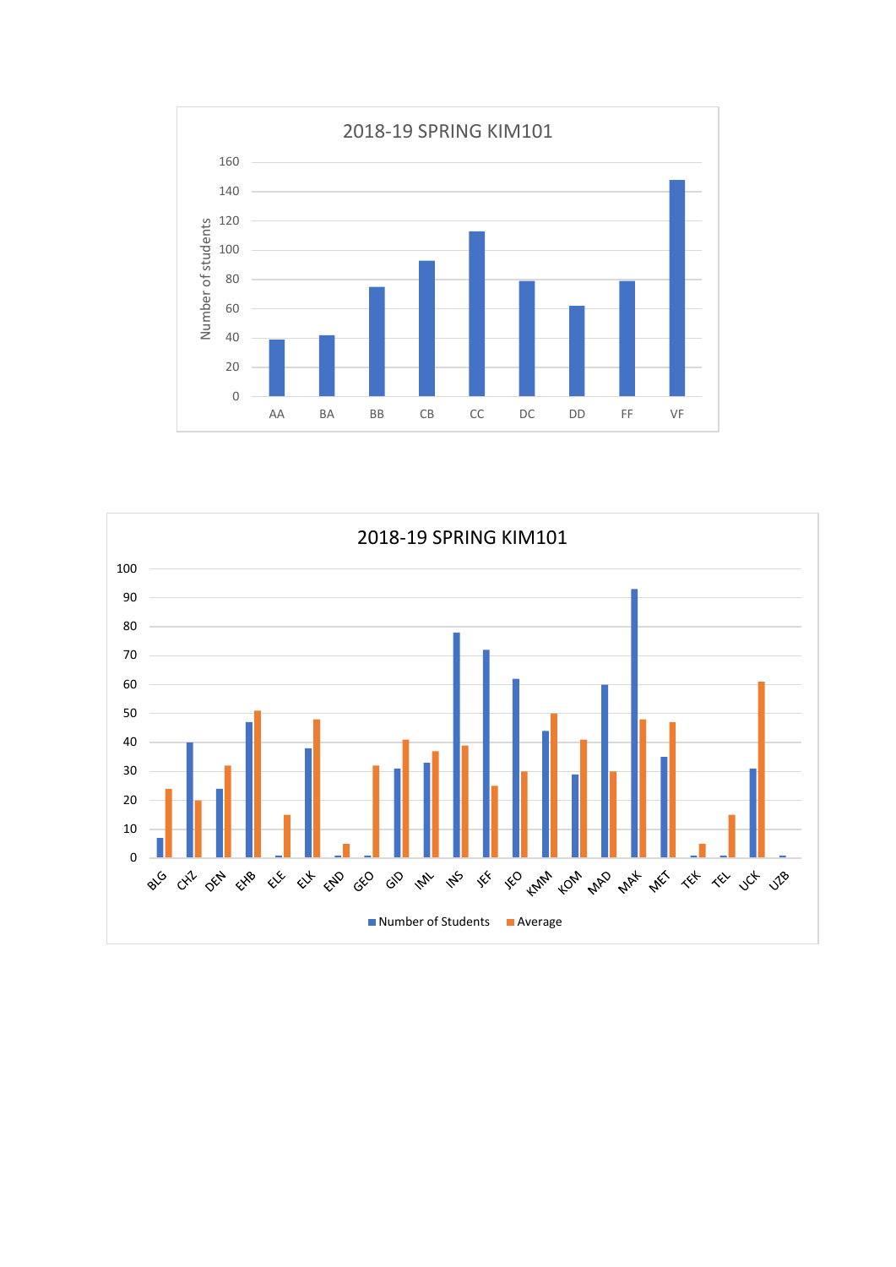

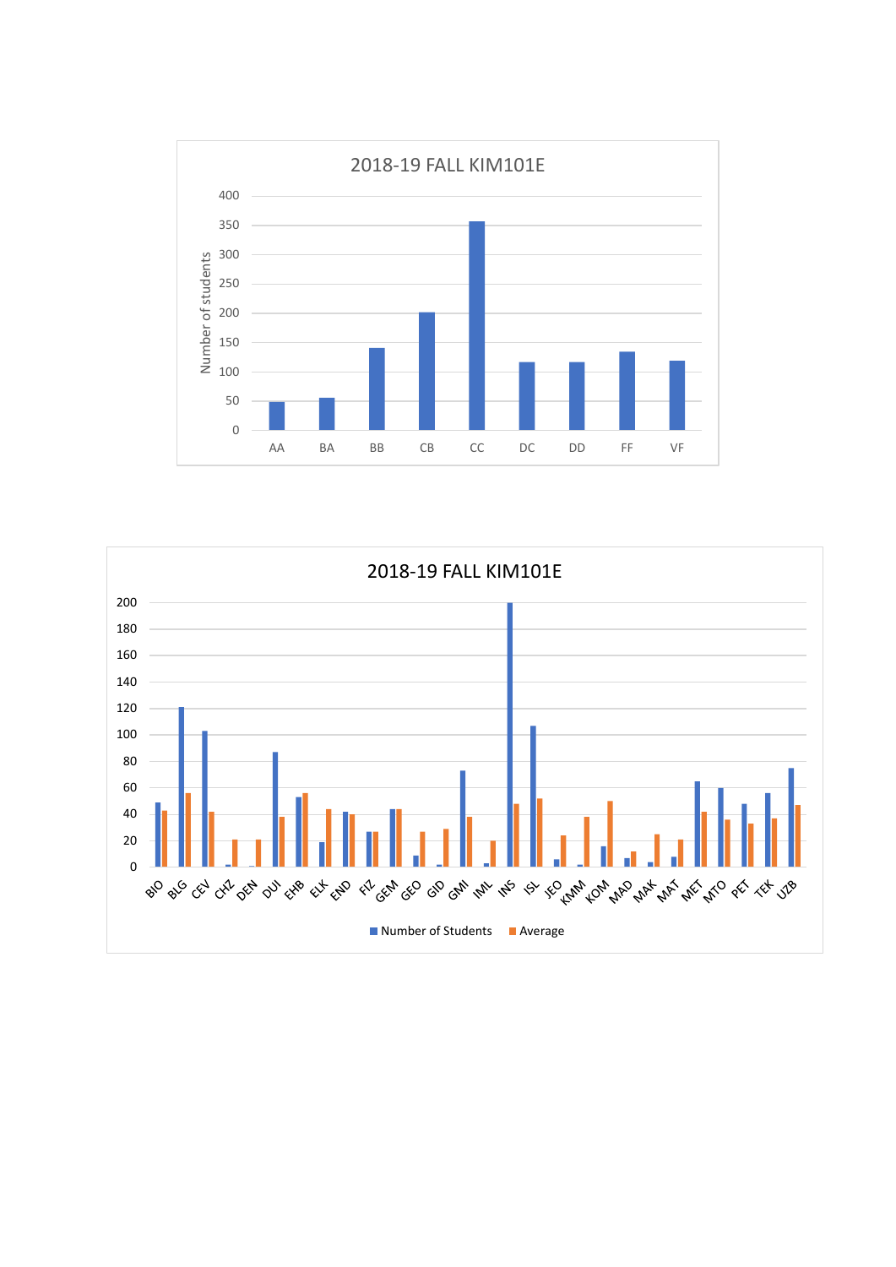